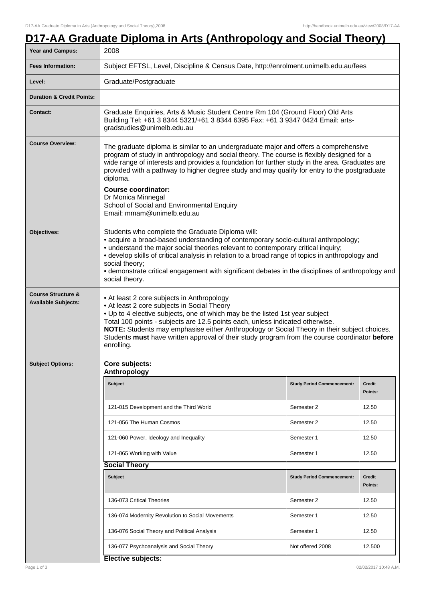## **D17-AA Graduate Diploma in Arts (Anthropology and Social Theory)**

| Year and Campus:                                            | 2008                                                                                                                                                                                                                                                                                                                                                                                                                                                                                                                            |                                   |                          |  |  |
|-------------------------------------------------------------|---------------------------------------------------------------------------------------------------------------------------------------------------------------------------------------------------------------------------------------------------------------------------------------------------------------------------------------------------------------------------------------------------------------------------------------------------------------------------------------------------------------------------------|-----------------------------------|--------------------------|--|--|
| <b>Fees Information:</b>                                    | Subject EFTSL, Level, Discipline & Census Date, http://enrolment.unimelb.edu.au/fees                                                                                                                                                                                                                                                                                                                                                                                                                                            |                                   |                          |  |  |
| Level:                                                      | Graduate/Postgraduate                                                                                                                                                                                                                                                                                                                                                                                                                                                                                                           |                                   |                          |  |  |
| <b>Duration &amp; Credit Points:</b>                        |                                                                                                                                                                                                                                                                                                                                                                                                                                                                                                                                 |                                   |                          |  |  |
| <b>Contact:</b>                                             | Graduate Enquiries, Arts & Music Student Centre Rm 104 (Ground Floor) Old Arts<br>Building Tel: +61 3 8344 5321/+61 3 8344 6395 Fax: +61 3 9347 0424 Email: arts-<br>gradstudies@unimelb.edu.au                                                                                                                                                                                                                                                                                                                                 |                                   |                          |  |  |
| <b>Course Overview:</b>                                     | The graduate diploma is similar to an undergraduate major and offers a comprehensive<br>program of study in anthropology and social theory. The course is flexibly designed for a<br>wide range of interests and provides a foundation for further study in the area. Graduates are<br>provided with a pathway to higher degree study and may qualify for entry to the postgraduate<br>diploma.<br><b>Course coordinator:</b><br>Dr Monica Minnegal<br>School of Social and Environmental Enquiry<br>Email: mmam@unimelb.edu.au |                                   |                          |  |  |
| Objectives:                                                 | Students who complete the Graduate Diploma will:<br>• acquire a broad-based understanding of contemporary socio-cultural anthropology;<br>• understand the major social theories relevant to contemporary critical inquiry;<br>• develop skills of critical analysis in relation to a broad range of topics in anthropology and<br>social theory;<br>• demonstrate critical engagement with significant debates in the disciplines of anthropology and<br>social theory.                                                        |                                   |                          |  |  |
| <b>Course Structure &amp;</b><br><b>Available Subjects:</b> | • At least 2 core subjects in Anthropology<br>• At least 2 core subjects in Social Theory<br>. Up to 4 elective subjects, one of which may be the listed 1st year subject<br>Total 100 points - subjects are 12.5 points each, unless indicated otherwise.<br>NOTE: Students may emphasise either Anthropology or Social Theory in their subject choices.<br>Students must have written approval of their study program from the course coordinator before<br>enrolling.                                                        |                                   |                          |  |  |
| <b>Subject Options:</b>                                     | Core subjects:<br>Anthropology                                                                                                                                                                                                                                                                                                                                                                                                                                                                                                  |                                   |                          |  |  |
|                                                             | Subject                                                                                                                                                                                                                                                                                                                                                                                                                                                                                                                         | <b>Study Period Commencement:</b> | Credit<br>Points:        |  |  |
|                                                             | 121-015 Development and the Third World                                                                                                                                                                                                                                                                                                                                                                                                                                                                                         | Semester 2                        | 12.50                    |  |  |
|                                                             | 121-056 The Human Cosmos                                                                                                                                                                                                                                                                                                                                                                                                                                                                                                        | Semester 2                        | 12.50                    |  |  |
|                                                             | 121-060 Power, Ideology and Inequality                                                                                                                                                                                                                                                                                                                                                                                                                                                                                          | Semester 1                        | 12.50                    |  |  |
|                                                             | 121-065 Working with Value                                                                                                                                                                                                                                                                                                                                                                                                                                                                                                      | Semester 1                        | 12.50                    |  |  |
|                                                             | <b>Social Theory</b>                                                                                                                                                                                                                                                                                                                                                                                                                                                                                                            |                                   |                          |  |  |
|                                                             | <b>Subject</b>                                                                                                                                                                                                                                                                                                                                                                                                                                                                                                                  | <b>Study Period Commencement:</b> | <b>Credit</b><br>Points: |  |  |
|                                                             | 136-073 Critical Theories                                                                                                                                                                                                                                                                                                                                                                                                                                                                                                       | Semester 2                        | 12.50                    |  |  |
|                                                             | 136-074 Modernity Revolution to Social Movements                                                                                                                                                                                                                                                                                                                                                                                                                                                                                | Semester 1                        | 12.50                    |  |  |
|                                                             | 136-076 Social Theory and Political Analysis                                                                                                                                                                                                                                                                                                                                                                                                                                                                                    | Semester 1                        | 12.50                    |  |  |
|                                                             | 136-077 Psychoanalysis and Social Theory                                                                                                                                                                                                                                                                                                                                                                                                                                                                                        | Not offered 2008                  | 12.500                   |  |  |
|                                                             | Elective subjects:                                                                                                                                                                                                                                                                                                                                                                                                                                                                                                              |                                   |                          |  |  |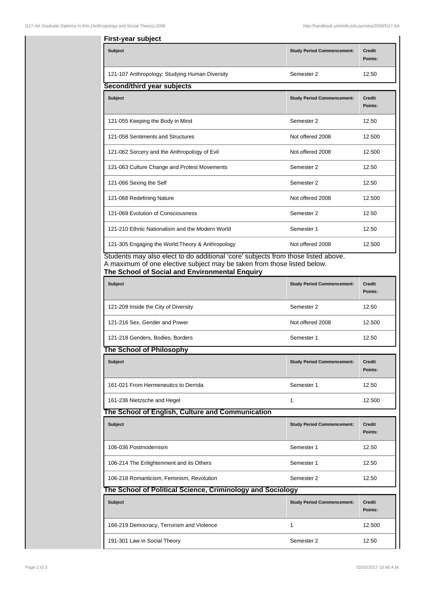| First-year subject                                         |                                   |                          |  |  |  |  |
|------------------------------------------------------------|-----------------------------------|--------------------------|--|--|--|--|
| <b>Subject</b>                                             | <b>Study Period Commencement:</b> | <b>Credit</b><br>Points: |  |  |  |  |
| 121-107 Anthropology: Studying Human Diversity             | Semester 2                        | 12.50                    |  |  |  |  |
| Second/third year subjects                                 |                                   |                          |  |  |  |  |
| <b>Subject</b>                                             | <b>Study Period Commencement:</b> | <b>Credit</b><br>Points: |  |  |  |  |
| 121-055 Keeping the Body in Mind                           | Semester 2                        | 12.50                    |  |  |  |  |
| 121-058 Sentiments and Structures                          | Not offered 2008                  | 12.500                   |  |  |  |  |
| 121-062 Sorcery and the Anthropology of Evil               | Not offered 2008                  | 12.500                   |  |  |  |  |
| 121-063 Culture Change and Protest Movements               | Semester 2                        | 12.50                    |  |  |  |  |
| 121-066 Sexing the Self                                    | Semester 2                        | 12.50                    |  |  |  |  |
| 121-068 Redefining Nature                                  | Not offered 2008                  | 12.500                   |  |  |  |  |
| 121-069 Evolution of Consciousness                         | Semester 2                        | 12.50                    |  |  |  |  |
| 121-210 Ethnic Nationalism and the Modern World            | Semester 1                        | 12.50                    |  |  |  |  |
| 121-305 Engaging the World: Theory & Anthropology          | Not offered 2008                  | 12.500                   |  |  |  |  |
| The School of Social and Environmental Enquiry<br>Subject  | <b>Study Period Commencement:</b> | Credit<br>Points:        |  |  |  |  |
| 121-209 Inside the City of Diversity                       | Semester 2                        | 12.50                    |  |  |  |  |
| 121-216 Sex, Gender and Power                              | Not offered 2008                  | 12.500                   |  |  |  |  |
| 121-218 Genders, Bodies, Borders                           | Semester 1                        | 12.50                    |  |  |  |  |
| The School of Philosophy                                   |                                   |                          |  |  |  |  |
| Subject                                                    | <b>Study Period Commencement:</b> | <b>Credit</b><br>Points: |  |  |  |  |
| 161-021 From Hermeneutics to Derrida                       | Semester 1                        | 12.50                    |  |  |  |  |
| 161-236 Nietzsche and Hegel                                | $\mathbf{1}$                      | 12.500                   |  |  |  |  |
| The School of English, Culture and Communication           |                                   |                          |  |  |  |  |
| <b>Subject</b>                                             | <b>Study Period Commencement:</b> | <b>Credit</b><br>Points: |  |  |  |  |
| 106-036 Postmodernism                                      | Semester 1                        | 12.50                    |  |  |  |  |
| 106-214 The Enlightenment and its Others                   | Semester 1                        | 12.50                    |  |  |  |  |
| 106-218 Romanticism, Feminism, Revolution                  | Semester 2                        | 12.50                    |  |  |  |  |
| The School of Political Science, Criminology and Sociology |                                   |                          |  |  |  |  |
| <b>Subject</b>                                             | <b>Study Period Commencement:</b> | Credit<br>Points:        |  |  |  |  |
| 166-219 Democracy, Terrorism and Violence                  | 1                                 | 12.500                   |  |  |  |  |
| 191-301 Law in Social Theory                               | Semester 2                        | 12.50                    |  |  |  |  |